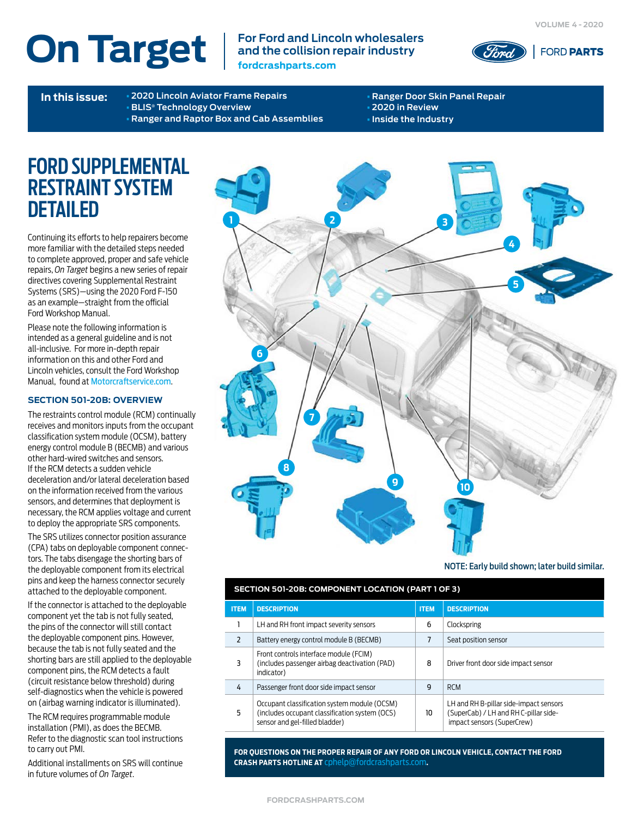**On Target**  $\left| \begin{array}{c}$  For Ford and Lincoln wholesalers **and the collision repair industry fordcrashparts.com**



**In this issue:** [•](#page-2-0) **[2020 Lincoln Aviator Frame Repairs](#page-1-0)** [•](#page-4-0) **[BLIS® Technology Overview](#page-1-0)** [•](#page-3-0) **[Ranger and Raptor Box and Cab Assemblies](#page-2-0)**

[•](#page-5-0) **[Ranger Door Skin Panel Repair](#page-4-0)** [•](#page-5-0) **[2020 in Review](#page-5-0)** [•](#page-5-0) **[Inside the Industry](#page-5-0)**

### **FORD SUPPLEMENTAL RESTRAINT SYSTEM DETAILED**

Continuing its efforts to help repairers become more familiar with the detailed steps needed to complete approved, proper and safe vehicle repairs, *On Target* begins a new series of repair directives covering Supplemental Restraint Systems (SRS)—using the 2020 Ford F-150 as an example—straight from the official Ford Workshop Manual.

Please note the following information is intended as a general guideline and is not all-inclusive. For more in-depth repair information on this and other Ford and Lincoln vehicles, consult the Ford Workshop Manual, found at [Motorcraftservice.com](https://www.motorcraftservice.com/Home/SetCountry?returnUrl=https%3A%2F%2Fwww.motorcraftservice.com%3A14002%2F).

#### **SECTION 501-20B: OVERVIEW**

The restraints control module (RCM) continually receives and monitors inputs from the occupant classification system module (OCSM), battery energy control module B (BECMB) and various other hard-wired switches and sensors. If the RCM detects a sudden vehicle deceleration and/or lateral deceleration based on the information received from the various sensors, and determines that deployment is necessary, the RCM applies voltage and current to deploy the appropriate SRS components.

The SRS utilizes connector position assurance (CPA) tabs on deployable component connectors. The tabs disengage the shorting bars of the deployable component from its electrical pins and keep the harness connector securely attached to the deployable component.

If the connector is attached to the deployable component yet the tab is not fully seated, the pins of the connector will still contact the deployable component pins. However, because the tab is not fully seated and the shorting bars are still applied to the deployable component pins, the RCM detects a fault (circuit resistance below threshold) during self-diagnostics when the vehicle is powered on (airbag warning indicator is illuminated).

The RCM requires programmable module installation (PMI), as does the BECMB. Refer to the diagnostic scan tool instructions to carry out PMI.

Additional installments on SRS will continue in future volumes of *On Target*.



NOTE: Early build shown; later build similar.

#### **SECTION 501-20B: COMPONENT LOCATION (PART 1 OF 3)**

| <b>ITEM</b>              | <b>DESCRIPTION</b>                                                                                                               | <b>ITEM</b> | <b>DESCRIPTION</b>                                                                                            |
|--------------------------|----------------------------------------------------------------------------------------------------------------------------------|-------------|---------------------------------------------------------------------------------------------------------------|
|                          | LH and RH front impact severity sensors                                                                                          | 6           | Clockspring                                                                                                   |
| $\overline{\phantom{a}}$ | Battery energy control module B (BECMB)                                                                                          | 7           | Seat position sensor                                                                                          |
| 3                        | Front controls interface module (FCIM)<br>(includes passenger airbag deactivation (PAD)<br>indicator)                            | 8           | Driver front door side impact sensor                                                                          |
| 4                        | Passenger front door side impact sensor                                                                                          | g           | <b>RCM</b>                                                                                                    |
| 5                        | Occupant classification system module (OCSM)<br>(includes occupant classification system (OCS)<br>sensor and gel-filled bladder) | 10          | LH and RH B-pillar side-impact sensors<br>(SuperCab) / LH and RH C-pillar side-<br>impact sensors (SuperCrew) |

**FOR QUESTIONS ON THE PROPER REPAIR OF ANY FORD OR LINCOLN VEHICLE, CONTACT THE FORD CRASH PARTS HOTLINE AT** [cphelp@fordcrashparts.com](mailto:cphelp%40fordcrashparts.com?subject=On-Target%20Information)**.**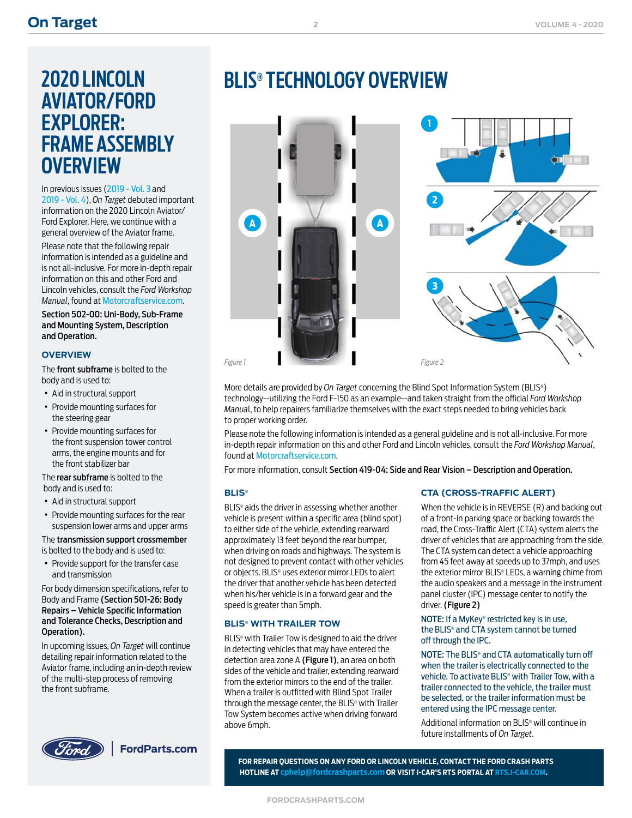# **AVIATOR/FORD EXPLORER: FRAME ASSEMBLY OVERVIEW**

In previous issues ([2019 - Vol. 3](https://fordcrashparts.com/sites/default/files/On%20Target%20%20(2019%20-%20Vol.%203)%20FINAL%2010-24-19.pdf) and [2019 - Vol. 4](https://application-ford-fordcrashparts.s3.us-east-2.amazonaws.com/On-Target-2019-Vol4-12-18-19.pdf)), *On Target* debuted important information on the 2020 Lincoln Aviator/ Ford Explorer. Here, we continue with a general overview of the Aviator frame.

Please note that the following repair information is intended as a guideline and is not all-inclusive. For more in-depth repair information on this and other Ford and Lincoln vehicles, consult the *Ford Workshop Manual*, found at [Motorcraftservice.com](https://www.motorcraftservice.com/Home/SetCountry?returnUrl=https%3A%2F%2Fwww.motorcraftservice.com%3A14002%2F).

Section 502-00: Uni-Body, Sub-Frame and Mounting System, Description and Operation.

#### **OVERVIEW**

The front subframe is bolted to the body and is used to:

- · Aid in structural support
- · Provide mounting surfaces for the steering gear
- · Provide mounting surfaces for the front suspension tower control arms, the engine mounts and for the front stabilizer bar

The rear subframe is bolted to the body and is used to:

- · Aid in structural support
- · Provide mounting surfaces for the rear suspension lower arms and upper arms

The transmission support crossmember is bolted to the body and is used to:

· Provide support for the transfer case and transmission

For body dimension specifications, refer to Body and Frame (Section 501-26: Body Repairs – Vehicle Specific Information and Tolerance Checks, Description and Operation).

In upcoming issues, *On Target* will continue detailing repair information related to the Aviator frame, including an in-depth review of the multi-step process of removing the front subframe.



## **BLIS® TECHNOLOGY OVERVIEW**

**2**

<span id="page-1-0"></span>**FORD LINCOLN SECTION CONTRACT CONTRACT CONTRACT CONTRACT CONTRACT CONTRACT CONTRACT CONTRACT CONTRACT CONTRACT CONTRACT CONTRACT CONTRACT CONTRACT CONTRACT CONTRACT CONTRACT CONTRACT CONTRACT CONTRACT CONTRACT CONTRACT CO 1**  $\sqrt{m}$ **2 A A 3** *Figure 1 Figure 2*

More details are provided by *On Target* concerning the Blind Spot Information System (BLIS® ) technology--utilizing the Ford F-150 as an example--and taken straight from the official *Ford Workshop Manua*l, to help repairers familiarize themselves with the exact steps needed to bring vehicles back to proper working order.

Please note the following information is intended as a general guideline and is not all-inclusive. For more in-depth repair information on this and other Ford and Lincoln vehicles, consult the *Ford Workshop Manual*, found at [Motorcraftservice.com](https://www.motorcraftservice.com/Home/SetCountry?returnUrl=https%3A%2F%2Fwww.motorcraftservice.com%3A14002%2F).

For more information, consult Section 419-04: Side and Rear Vision – Description and Operation.

#### **BLIS®**

BLIS® aids the driver in assessing whether another vehicle is present within a specific area (blind spot) to either side of the vehicle, extending rearward approximately 13 feet beyond the rear bumper, when driving on roads and highways. The system is not designed to prevent contact with other vehicles or objects. BLIS® uses exterior mirror LEDs to alert the driver that another vehicle has been detected when his/her vehicle is in a forward gear and the speed is greater than 5mph.

#### **BLIS® WITH TRAILER TOW**

BLIS® with Trailer Tow is designed to aid the driver in detecting vehicles that may have entered the detection area zone A (Figure 1), an area on both sides of the vehicle and trailer, extending rearward from the exterior mirrors to the end of the trailer. When a trailer is outfitted with Blind Spot Trailer through the message center, the BLIS® with Trailer Tow System becomes active when driving forward above 6mph.

#### **CTA (CROSS-TRAFFIC ALERT)**

When the vehicle is in REVERSE (R) and backing out of a front-in parking space or backing towards the road, the Cross-Traffic Alert (CTA) system alerts the driver of vehicles that are approaching from the side. The CTA system can detect a vehicle approaching from 45 feet away at speeds up to 37mph, and uses the exterior mirror BLIS® LEDs, a warning chime from the audio speakers and a message in the instrument panel cluster (IPC) message center to notify the driver. (Figure 2)

#### NOTE: If a MyKey® restricted key is in use, the BLIS® and CTA system cannot be turned off through the IPC.

NOTE: The BLIS® and CTA automatically turn off when the trailer is electrically connected to the vehicle. To activate BLIS® with Trailer Tow, with a trailer connected to the vehicle, the trailer must be selected, or the trailer information must be entered using the IPC message center.

Additional information on BLIS® will continue in future installments of *On Target*.

**FOR REPAIR QUESTIONS ON ANY FORD OR LINCOLN VEHICLE, CONTACT THE FORD CRASH PARTS HOTLINE AT [cphelp@fordcrashparts.com](mailto:cphelp%40fordcrashparts.com?subject=Suggestion%20for%20future%20Collision%20Report%20Video) OR VISIT I-CAR'S RTS PORTAL AT RTS[.I-CAR.COM.](https://rts.i-car.com)**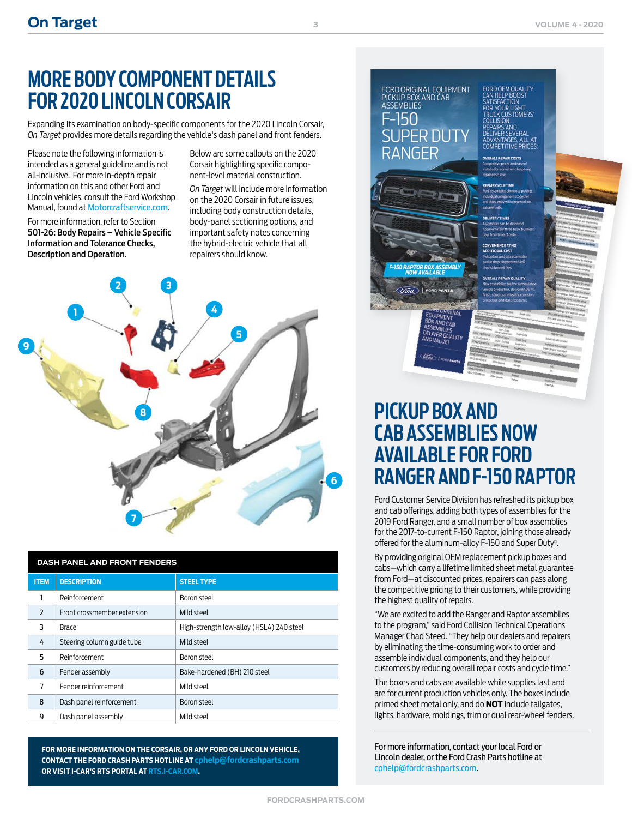### **MORE BODY COMPONENT DETAILS FOR 2020 LINCOLN CORSAIR**

Expanding its examination on body-specific components for the 2020 Lincoln Corsair, *On Target* provides more details regarding the vehicle's dash panel and front fenders.

Please note the following information is intended as a general guideline and is not all-inclusive. For more in-depth repair information on this and other Ford and Lincoln vehicles, consult the Ford Workshop Manual, found at [Motorcraftservice.com](https://www.motorcraftservice.com/Home/SetCountry?returnUrl=https%3A%2F%2Fwww.motorcraftservice.com%3A14002%2F).

For more information, refer to Section 501-26: Body Repairs – Vehicle Specific Information and Tolerance Checks, Description and Operation.

Below are some callouts on the 2020 Corsair highlighting specific component-level material construction.

*On Target* will include more information on the 2020 Corsair in future issues, including body construction details, body-panel sectioning options, and important safety notes concerning the hybrid-electric vehicle that all repairers should know.

<span id="page-2-0"></span>

| <b>DASH PANEL AND FRONT FENDERS</b> |                             |                                          |  |
|-------------------------------------|-----------------------------|------------------------------------------|--|
| <b>ITEM</b>                         | <b>DESCRIPTION</b>          | <b>STEEL TYPE</b>                        |  |
|                                     | Reinforcement               | Boron steel                              |  |
| $\overline{\phantom{0}}$            | Front crossmember extension | leetz bliM                               |  |
| 3                                   | Brace                       | High-strength low-alloy (HSLA) 240 steel |  |
| 4                                   | Steering column guide tube  | Mild steel                               |  |
| 5                                   | Reinforcement               | Boron steel                              |  |
| $6\overline{6}$                     | Fender assembly             | Bake-hardened (BH) 210 steel             |  |
| 7                                   | Fender reinforcement        | Mild steel                               |  |
| 8                                   | Dash panel reinforcement    | Boron steel                              |  |
| 9                                   | Dash panel assembly         | Mild steel                               |  |

**FOR MORE INFORMATION ON THE CORSAIR, OR ANY FORD OR LINCOLN VEHICLE, CONTACT THE FORD CRASH PARTS HOTLINE AT [cphelp@fordcrashparts.com](mailto:cphelp%40fordcrashparts.com?subject=Information) OR VISIT I-CAR'S RTS PORTAL AT [RTS.I-CAR.COM](https://rts.i-car.com).**



## **PICKUP BOX AND CAB ASSEMBLIES NOW AVAILABLE FOR FORD RANGER AND F-150 RAPTOR**

Ford Customer Service Division has refreshed its pickup box and cab offerings, adding both types of assemblies for the 2019 Ford Ranger, and a small number of box assemblies for the 2017-to-current F-150 Raptor, joining those already offered for the aluminum-alloy F-150 and Super Duty® .

By providing original OEM replacement pickup boxes and cabs—which carry a lifetime limited sheet metal guarantee from Ford—at discounted prices, repairers can pass along the competitive pricing to their customers, while providing the highest quality of repairs.

"We are excited to add the Ranger and Raptor assemblies to the program," said Ford Collision Technical Operations Manager Chad Steed. "They help our dealers and repairers by eliminating the time-consuming work to order and assemble individual components, and they help our customers by reducing overall repair costs and cycle time."

The boxes and cabs are available while supplies last and are for current production vehicles only. The boxes include primed sheet metal only, and do **NOT** include tailgates, lights, hardware, moldings, trim or dual rear-wheel fenders.

For more information, contact your local Ford or Lincoln dealer, or the Ford Crash Parts hotline at [cphelp@fordcrashparts.com.](mailto:cphelp%40fordcrashparts.com?subject=OnTarget%20-%20More%20Information)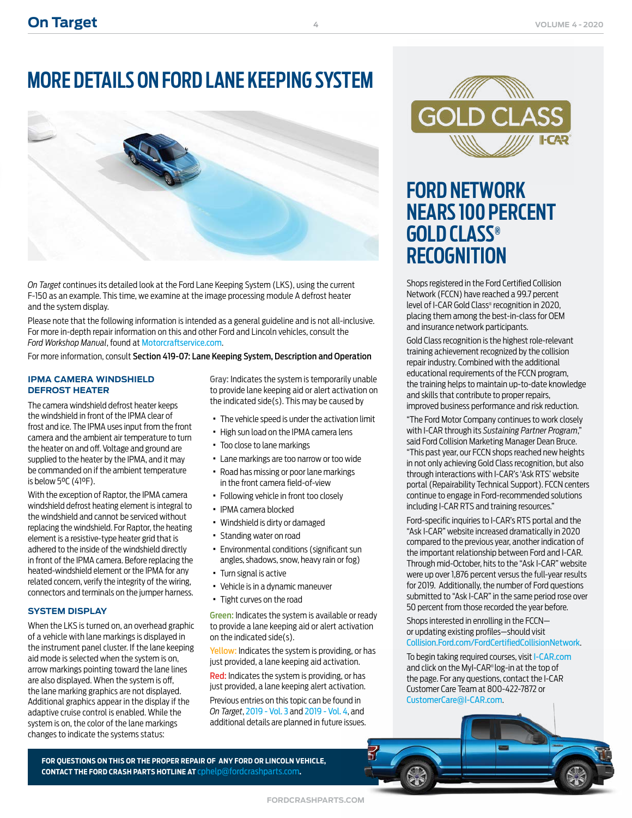## **MORE DETAILS ON FORD LANE KEEPING SYSTEM**

<span id="page-3-0"></span>

*On Target* continues its detailed look at the Ford Lane Keeping System (LKS), using the current F-150 as an example. This time, we examine at the image processing module A defrost heater and the system display.

Please note that the following information is intended as a general guideline and is not all-inclusive. For more in-depth repair information on this and other Ford and Lincoln vehicles, consult the *Ford Workshop Manual*, found at [Motorcraftservice.com](https://www.motorcraftservice.com/Home/SetCountry?returnUrl=https%3A%2F%2Fwww.motorcraftservice.com%3A14002%2F).

For more information, consult Section 419-07: Lane Keeping System, Description and Operation

#### **IPMA CAMERA WINDSHIELD DEFROST HEATER**

The camera windshield defrost heater keeps the windshield in front of the IPMA clear of frost and ice. The IPMA uses input from the front camera and the ambient air temperature to turn the heater on and off. Voltage and ground are supplied to the heater by the IPMA, and it may be commanded on if the ambient temperature is below 5°C (41°F).

With the exception of Raptor, the IPMA camera windshield defrost heating element is integral to the windshield and cannot be serviced without replacing the windshield. For Raptor, the heating element is a resistive-type heater grid that is adhered to the inside of the windshield directly in front of the IPMA camera. Before replacing the heated-windshield element or the IPMA for any related concern, verify the integrity of the wiring, connectors and terminals on the jumper harness.

#### **SYSTEM DISPLAY**

When the LKS is turned on, an overhead graphic of a vehicle with lane markings is displayed in the instrument panel cluster. If the lane keeping aid mode is selected when the system is on, arrow markings pointing toward the lane lines are also displayed. When the system is off, the lane marking graphics are not displayed. Additional graphics appear in the display if the adaptive cruise control is enabled. While the system is on, the color of the lane markings changes to indicate the systems status:

Gray: Indicates the system is temporarily unable to provide lane keeping aid or alert activation on the indicated side(s). This may be caused by

- · The vehicle speed is under the activation limit
- · High sun load on the IPMA camera lens
- · Too close to lane markings
- · Lane markings are too narrow or too wide
- · Road has missing or poor lane markings in the front camera field-of-view
- · Following vehicle in front too closely
- · IPMA camera blocked
- · Windshield is dirty or damaged
- · Standing water on road
- · Environmental conditions (significant sun angles, shadows, snow, heavy rain or fog)
- · Turn signal is active
- · Vehicle is in a dynamic maneuver
- · Tight curves on the road

Green: Indicates the system is available or ready to provide a lane keeping aid or alert activation on the indicated side(s).

Yellow: Indicates the system is providing, or has just provided, a lane keeping aid activation.

Red: Indicates the system is providing, or has just provided, a lane keeping alert activation.

Previous entries on this topic can be found in *On Target*, [2019 - Vol. 3](https://fordcrashparts.com/sites/default/files/On%20Target%20%20(2019%20-%20Vol.%203)%20FINAL%2010-24-19.pdf) and [2019 - Vol. 4](https://application-ford-fordcrashparts.s3.us-east-2.amazonaws.com/On-Target-2019-Vol4-12-18-19.pdf), and additional details are planned in future issues.



### **FORD NETWORK NEARS 100 PERCENT GOLD CLASS® RECOGNITION**

Shops registered in the Ford Certified Collision Network (FCCN) have reached a 99.7 percent level of I-CAR Gold Class® recognition in 2020, placing them among the best-in-class for OEM and insurance network participants.

Gold Class recognition is the highest role-relevant training achievement recognized by the collision repair industry. Combined with the additional educational requirements of the FCCN program, the training helps to maintain up-to-date knowledge and skills that contribute to proper repairs, improved business performance and risk reduction.

"The Ford Motor Company continues to work closely with I-CAR through its *Sustaining Partner Program*," said Ford Collision Marketing Manager Dean Bruce. "This past year, our FCCN shops reached new heights in not only achieving Gold Class recognition, but also through interactions with I-CAR's 'Ask RTS' website portal (Repairability Technical Support). FCCN centers continue to engage in Ford-recommended solutions including I-CAR RTS and training resources."

Ford-specific inquiries to I-CAR's RTS portal and the "Ask I-CAR" website increased dramatically in 2020 compared to the previous year, another indication of the important relationship between Ford and I-CAR. Through mid-October, hits to the "Ask I-CAR" website were up over 1,876 percent versus the full-year results for 2019. Additionally, the number of Ford questions submitted to "Ask I-CAR" in the same period rose over 50 percent from those recorded the year before.

Shops interested in enrolling in the FCCN or updating existing profiles—should visit [Collision.Ford.com/FordCertifiedCollisionNetwork](https://collision.ford.com/fordcertifiedcollisionnetwork).

To begin taking required courses, visit [I-CAR.com](https://www.i-car.com/s/) and click on the MyI-CAR® log-in at the top of the page. For any questions, contact the I-CAR Customer Care Team at 800-422-7872 or [CustomerCare@I-CAR.com](mailto:CustomerCare%40I-CAR.com?subject=Question).

**FOR QUESTIONS ON THIS OR THE PROPER REPAIR OF ANY FORD OR LINCOLN VEHICLE, CONTACT THE FORD CRASH PARTS HOTLINE AT** [cphelp@fordcrashparts.com](mailto:cphelp%40fordcrashparts.com?subject=OnTarget%20-%20Repair%20Question)**.**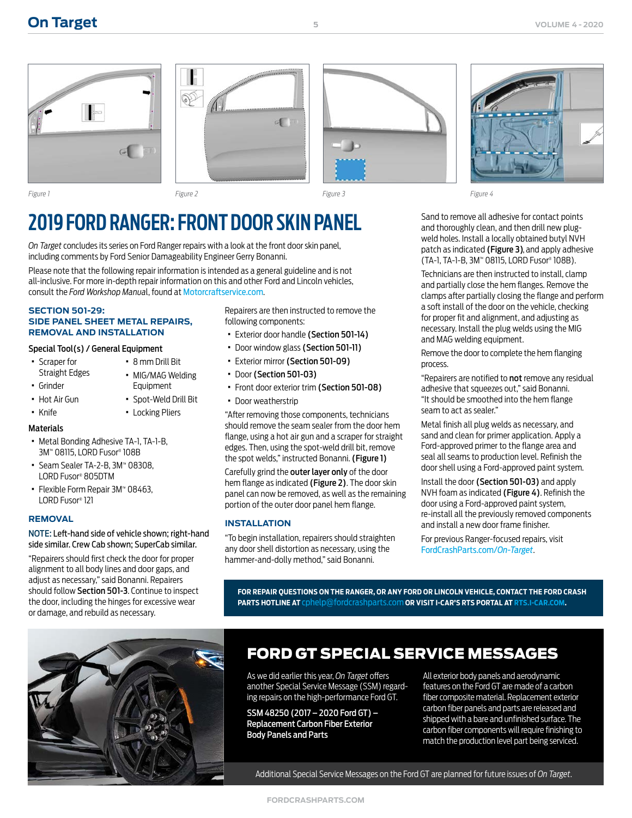







## **2019 FORD RANGER: FRONT DOOR SKIN PANEL**

*On Target* concludes its series on Ford Ranger repairs with a look at the front door skin panel, including comments by Ford Senior Damageability Engineer Gerry Bonanni.

Please note that the following repair information is intended as a general guideline and is not all-inclusive. For more in-depth repair information on this and other Ford and Lincoln vehicles, consult the *Ford Workshop Manua*l, found at [Motorcraftservice.com](https://www.motorcraftservice.com/Home/SetCountry?returnUrl=https%3A%2F%2Fwww.motorcraftservice.com%3A14002%2F).

#### **SECTION 501-29: SIDE PANEL SHEET METAL REPAIRS, REMOVAL AND INSTALLATION**

#### Special Tool(s) / General Equipment

- · Scraper for Straight Edges
- · MIG/MAG Welding Equipment
	- · Spot-Weld Drill Bit
	- · Locking Pliers

· 8 mm Drill Bit

### · Knife **Materials**

· Grinder · Hot Air Gun

- · Metal Bonding Adhesive TA-1, TA-1-B, 3M™ 08115, LORD Fusor® 108B
- · Seam Sealer TA-2-B, 3M™ 08308, LORD Fusor® 805DTM
- · Flexible Form Repair 3M™ 08463, LORD Fusor® 121

#### **REMOVAL**

#### NOTE: Left-hand side of vehicle shown; right-hand side similar. Crew Cab shown; SuperCab similar.

"Repairers should first check the door for proper alignment to all body lines and door gaps, and adjust as necessary," said Bonanni. Repairers should follow Section 501-3. Continue to inspect the door, including the hinges for excessive wear or damage, and rebuild as necessary.

Repairers are then instructed to remove the following components:

- · Exterior door handle (Section 501-14)
- · Door window glass (Section 501-11)
- · Exterior mirror (Section 501-09)
- · Door (Section 501-03)
- · Front door exterior trim (Section 501-08)
- · Door weatherstrip

"After removing those components, technicians should remove the seam sealer from the door hem flange, using a hot air gun and a scraper for straight edges. Then, using the spot-weld drill bit, remove the spot welds," instructed Bonanni. (Figure 1)

Carefully grind the outer layer only of the door hem flange as indicated (Figure 2). The door skin panel can now be removed, as well as the remaining portion of the outer door panel hem flange.

#### **INSTALLATION**

"To begin installation, repairers should straighten any door shell distortion as necessary, using the hammer-and-dolly method," said Bonanni.

Sand to remove all adhesive for contact points and thoroughly clean, and then drill new plugweld holes. Install a locally obtained butyl NVH patch as indicated (Figure 3), and apply adhesive (TA-1, TA-1-B, 3M™ 08115, LORD Fusor® 108B).

Technicians are then instructed to install, clamp and partially close the hem flanges. Remove the clamps after partially closing the flange and perform a soft install of the door on the vehicle, checking for proper fit and alignment, and adjusting as necessary. Install the plug welds using the MIG and MAG welding equipment.

Remove the door to complete the hem flanging process.

"Repairers are notified to not remove any residual adhesive that squeezes out," said Bonanni. "It should be smoothed into the hem flange seam to act as sealer."

Metal finish all plug welds as necessary, and sand and clean for primer application. Apply a Ford-approved primer to the flange area and seal all seams to production level. Refinish the door shell using a Ford-approved paint system.

Install the door (Section 501-03) and apply NVH foam as indicated (Figure 4). Refinish the door using a Ford-approved paint system, re-install all the previously removed components and install a new door frame finisher.

For previous Ranger-focused repairs, visit [FordCrashParts.com/](https://www.fordcrashparts.com/on-target-newsletters)*On-Target*.

**FOR REPAIR QUESTIONS ON THE RANGER, OR ANY FORD OR LINCOLN VEHICLE, CONTACT THE FORD CRASH PARTS HOTLINE AT** [cphelp@fordcrashparts.com](mailto:cphelp%40fordcrashparts.com?subject=Question) **OR VISIT I-CAR'S RTS PORTAL AT RTS[.I-CAR.COM](https://rts.i-car.com/).** 

<span id="page-4-0"></span>

### FORD GT SPECIAL SERVICE MESSAGES

As we did earlier this year, *On Target* offers another Special Service Message (SSM) regarding repairs on the high-performance Ford GT.

SSM 48250 (2017 – 2020 Ford GT) – Replacement Carbon Fiber Exterior Body Panels and Parts

All exterior body panels and aerodynamic features on the Ford GT are made of a carbon fiber composite material. Replacement exterior carbon fiber panels and parts are released and shipped with a bare and unfinished surface. The carbon fiber components will require finishing to match the production level part being serviced.

Additional Special Service Messages on the Ford GT are planned for future issues of *On Target*.